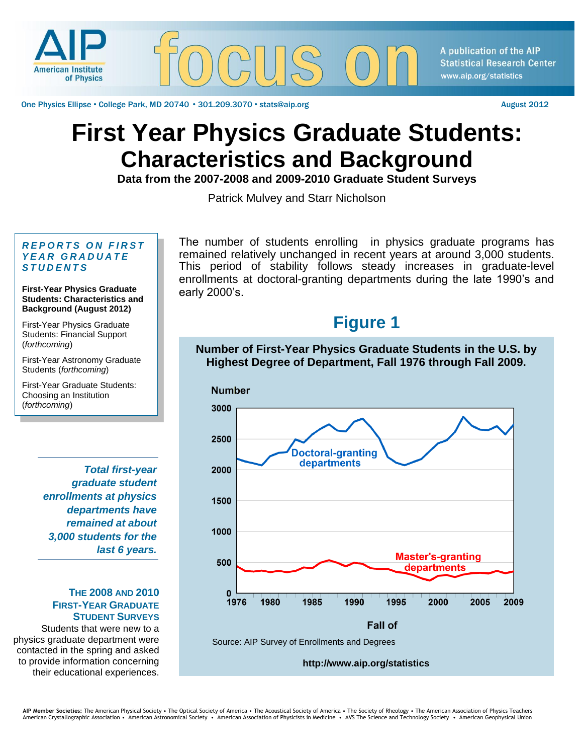

One Physics Ellipse • College Park, MD 20740 • 301.209.3070 • stats@aip.org August 2012

#### A publication of the AIP **Statistical Research Center** www.aip.org/statistics

# **First Year Physics Graduate Students: Characteristics and Background**

**Data from the 2007-2008 and 2009-2010 Graduate Student Surveys** 

Patrick Mulvey and Starr Nicholson

#### **REPORTS ON FIRST** *Y E A R G R A D U A T E S T U D E N T S*

#### **First-Year Physics Graduate Students: Characteristics and Background (August 2012)**

First-Year Physics Graduate Students: Financial Support (*forthcoming*)

First-Year Astronomy Graduate Students (*forthcoming*)

First-Year Graduate Students: Choosing an Institution (*forthcoming*)

> *Total first-year graduate student enrollments at physics departments have remained at about 3,000 students for the last 6 years.*

#### **THE 2008 AND 2010 FIRST-YEAR GRADUATE STUDENT SURVEYS**

Students that were new to a physics graduate department were contacted in the spring and asked to provide information concerning their educational experiences.

The number of students enrolling in physics graduate programs has remained relatively unchanged in recent years at around 3,000 students. This period of stability follows steady increases in graduate-level enrollments at doctoral-granting departments during the late 1990's and early 2000's.

### **Figure 1**

#### **Number of First-Year Physics Graduate Students in the U.S. by Highest Degree of Department, Fall 1976 through Fall 2009.**



**http://www.aip.org/statistics**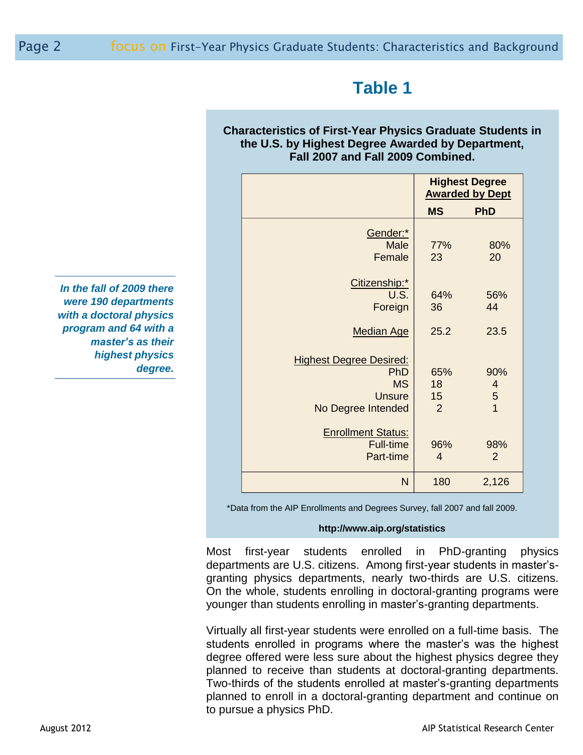# **Table 1**

### **Characteristics of First-Year Physics Graduate Students in the U.S. by Highest Degree Awarded by Department, Fall 2007 and Fall 2009 Combined.**

|                                | <b>Highest Degree</b><br><b>Awarded by Dept</b> |                |
|--------------------------------|-------------------------------------------------|----------------|
|                                | <b>MS</b>                                       | <b>PhD</b>     |
| Gender:*                       |                                                 |                |
| Male                           | 77%                                             | 80%            |
| Female                         | 23                                              | 20             |
|                                |                                                 |                |
| Citizenship:*                  |                                                 |                |
| U.S.                           | 64%                                             | 56%            |
| Foreign                        | 36                                              | 44             |
| <b>Median Age</b>              | 25.2                                            | 23.5           |
|                                |                                                 |                |
| <b>Highest Degree Desired:</b> |                                                 |                |
| PhD                            | 65%                                             | 90%            |
| <b>MS</b>                      | 18                                              | $\overline{4}$ |
| <b>Unsure</b>                  | 15                                              | $\overline{5}$ |
| No Degree Intended             | $\overline{2}$                                  | $\overline{1}$ |
|                                |                                                 |                |
| <b>Enrollment Status:</b>      |                                                 |                |
| <b>Full-time</b>               | 96%                                             | 98%            |
| Part-time                      | $\overline{4}$                                  | 2              |
| N                              | 180                                             | 2,126          |

*In the fall of 2009 there were 190 departments with a doctoral physics program and 64 with a master's as their highest physics degree.*

\*Data from the AIP Enrollments and Degrees Survey, fall 2007 and fall 2009.

#### **http://www.aip.org/statistics**

Most first-year students enrolled in PhD-granting physics departments are U.S. citizens. Among first-year students in master'sgranting physics departments, nearly two-thirds are U.S. citizens. On the whole, students enrolling in doctoral-granting programs were younger than students enrolling in master's-granting departments.

Virtually all first-year students were enrolled on a full-time basis. The students enrolled in programs where the master's was the highest degree offered were less sure about the highest physics degree they planned to receive than students at doctoral-granting departments. Two-thirds of the students enrolled at master's-granting departments planned to enroll in a doctoral-granting department and continue on to pursue a physics PhD.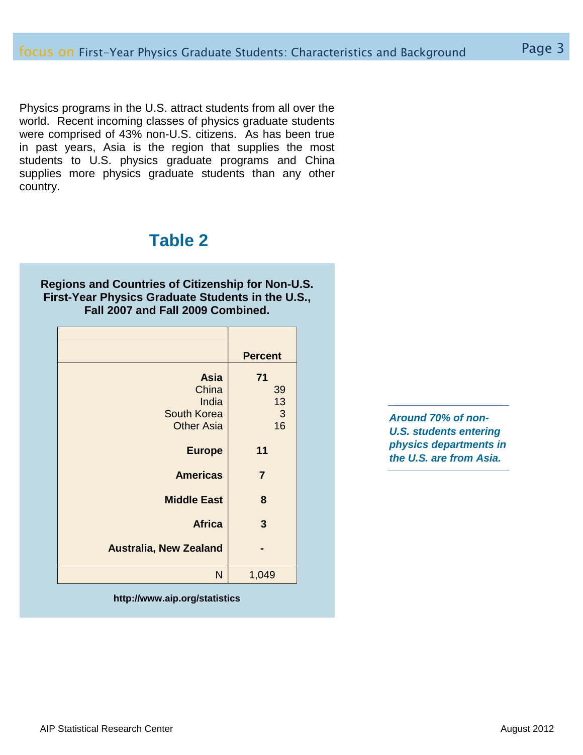Physics programs in the U.S. attract students from all over the world. Recent incoming classes of physics graduate students were comprised of 43% non-U.S. citizens. As has been true in past years, Asia is the region that supplies the most students to U.S. physics graduate programs and China supplies more physics graduate students than any other country.

### **Table 2**

**Regions and Countries of Citizenship for Non-U.S. First-Year Physics Graduate Students in the U.S., Fall 2007 and Fall 2009 Combined.**

|                               | <b>Percent</b> |
|-------------------------------|----------------|
| <b>Asia</b>                   | 71             |
| China                         | 39             |
| India                         | 13             |
| South Korea                   | $\mathbf{3}$   |
| <b>Other Asia</b>             | 16             |
| <b>Europe</b>                 | 11             |
| <b>Americas</b>               | $\overline{7}$ |
| <b>Middle East</b>            | 8              |
| <b>Africa</b>                 | 3              |
| <b>Australia, New Zealand</b> |                |
| N                             | 1,049          |

**http://www.aip.org/statistics**

*Around 70% of non-U.S. students entering physics departments in the U.S. are from Asia.*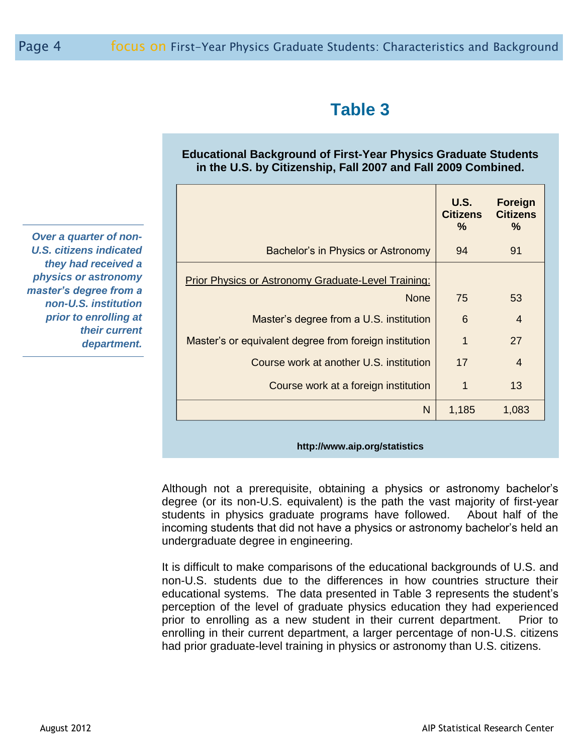# **Table 3**

### **Educational Background of First-Year Physics Graduate Students in the U.S. by Citizenship, Fall 2007 and Fall 2009 Combined.**

| Bachelor's in Physics or Astronomy                     | 94    |                |
|--------------------------------------------------------|-------|----------------|
|                                                        |       | 91             |
| Prior Physics or Astronomy Graduate-Level Training:    |       |                |
| <b>None</b>                                            | 75    | 53             |
| Master's degree from a U.S. institution                | 6     | $\overline{4}$ |
| Master's or equivalent degree from foreign institution | 1     | 27             |
| Course work at another U.S. institution                | 17    | $\overline{4}$ |
| Course work at a foreign institution                   | 1     | 13             |
| N                                                      | 1,185 | 1,083          |

**http://www.aip.org/statistics**

Although not a prerequisite, obtaining a physics or astronomy bachelor's degree (or its non-U.S. equivalent) is the path the vast majority of first-year students in physics graduate programs have followed. About half of the incoming students that did not have a physics or astronomy bachelor's held an undergraduate degree in engineering.

It is difficult to make comparisons of the educational backgrounds of U.S. and non-U.S. students due to the differences in how countries structure their educational systems. The data presented in Table 3 represents the student's perception of the level of graduate physics education they had experienced prior to enrolling as a new student in their current department. Prior to enrolling in their current department, a larger percentage of non-U.S. citizens had prior graduate-level training in physics or astronomy than U.S. citizens.

*Over a quarter of non-U.S. citizens indicated they had received a physics or astronomy master's degree from a non-U.S. institution prior to enrolling at their current department.*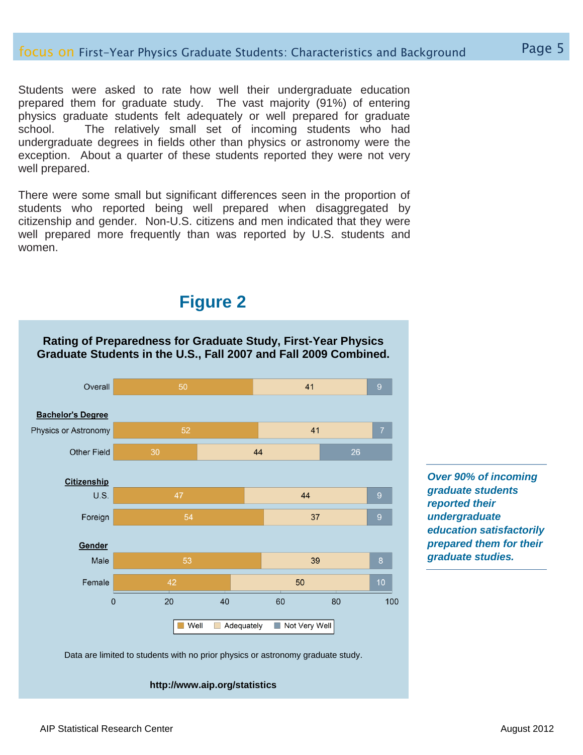Students were asked to rate how well their undergraduate education prepared them for graduate study. The vast majority (91%) of entering physics graduate students felt adequately or well prepared for graduate school. The relatively small set of incoming students who had undergraduate degrees in fields other than physics or astronomy were the exception. About a quarter of these students reported they were not very well prepared.

There were some small but significant differences seen in the proportion of students who reported being well prepared when disaggregated by citizenship and gender. Non-U.S. citizens and men indicated that they were well prepared more frequently than was reported by U.S. students and women.

### **Figure 2**

**Rating of Preparedness for Graduate Study, First-Year Physics** 



*Over 90% of incoming graduate students reported their undergraduate education satisfactorily prepared them for their graduate studies.*

Data are limited to students with no prior physics or astronomy graduate study.

**http://www.aip.org/statistics**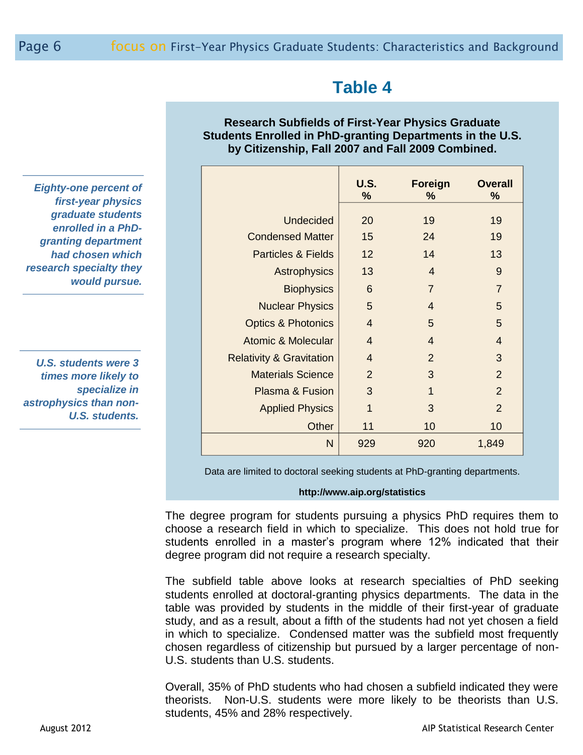## **Table 4**

### **Research Subfields of First-Year Physics Graduate Students Enrolled in PhD-granting Departments in the U.S. by Citizenship, Fall 2007 and Fall 2009 Combined.**

|                                     | <b>U.S.</b><br>% | <b>Foreign</b><br>% | <b>Overall</b><br>% |
|-------------------------------------|------------------|---------------------|---------------------|
| <b>Undecided</b>                    | 20               | 19                  | 19                  |
| <b>Condensed Matter</b>             | 15               | 24                  | 19                  |
| <b>Particles &amp; Fields</b>       | 12               | 14                  | 13                  |
|                                     |                  |                     |                     |
| Astrophysics                        | 13               | $\overline{4}$      | 9                   |
| <b>Biophysics</b>                   | 6                | $\overline{7}$      | $\overline{7}$      |
| <b>Nuclear Physics</b>              | 5                | $\overline{4}$      | 5                   |
| <b>Optics &amp; Photonics</b>       | $\overline{4}$   | 5                   | 5                   |
| <b>Atomic &amp; Molecular</b>       | $\overline{4}$   | $\overline{4}$      | $\overline{4}$      |
| <b>Relativity &amp; Gravitation</b> | $\overline{4}$   | 2                   | 3                   |
| <b>Materials Science</b>            | $\overline{2}$   | 3                   | $\overline{2}$      |
| Plasma & Fusion                     | 3                | 1                   | $\overline{2}$      |
| <b>Applied Physics</b>              | 1                | 3                   | $\overline{2}$      |
| Other                               | 11               | 10                  | 10                  |
| N                                   | 929              | 920                 | 1,849               |

Data are limited to doctoral seeking students at PhD-granting departments.

#### **http://www.aip.org/statistics**

The degree program for students pursuing a physics PhD requires them to choose a research field in which to specialize. This does not hold true for students enrolled in a master's program where 12% indicated that their degree program did not require a research specialty.

The subfield table above looks at research specialties of PhD seeking students enrolled at doctoral-granting physics departments. The data in the table was provided by students in the middle of their first-year of graduate study, and as a result, about a fifth of the students had not yet chosen a field in which to specialize. Condensed matter was the subfield most frequently chosen regardless of citizenship but pursued by a larger percentage of non-U.S. students than U.S. students.

Overall, 35% of PhD students who had chosen a subfield indicated they were theorists. Non-U.S. students were more likely to be theorists than U.S. students, 45% and 28% respectively.

*Eighty-one percent of first-year physics graduate students enrolled in a PhDgranting department had chosen which research specialty they would pursue.*

*U.S. students were 3 times more likely to specialize in astrophysics than non-U.S. students.*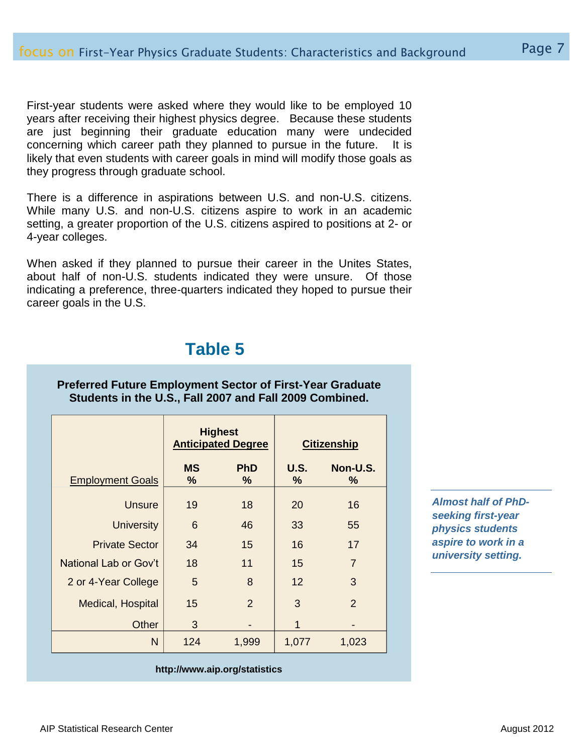First-year students were asked where they would like to be employed 10 years after receiving their highest physics degree. Because these students are just beginning their graduate education many were undecided concerning which career path they planned to pursue in the future. It is likely that even students with career goals in mind will modify those goals as they progress through graduate school.

There is a difference in aspirations between U.S. and non-U.S. citizens. While many U.S. and non-U.S. citizens aspire to work in an academic setting, a greater proportion of the U.S. citizens aspired to positions at 2- or 4-year colleges.

When asked if they planned to pursue their career in the Unites States, about half of non-U.S. students indicated they were unsure. Of those indicating a preference, three-quarters indicated they hoped to pursue their career goals in the U.S.

### **Table 5**

**Preferred Future Employment Sector of First-Year Graduate Students in the U.S., Fall 2007 and Fall 2009 Combined.**

|                         | <b>Highest</b><br><b>Anticipated Degree</b> |                 | <b>Citizenship</b> |                  |
|-------------------------|---------------------------------------------|-----------------|--------------------|------------------|
| <b>Employment Goals</b> | <b>MS</b><br>%                              | <b>PhD</b><br>% | <b>U.S.</b><br>%   | Non-U.S.<br>$\%$ |
| <b>Unsure</b>           | 19                                          | 18              | 20                 | 16               |
| <b>University</b>       | 6                                           | 46              | 33                 | 55               |
| <b>Private Sector</b>   | 34                                          | 15              | 16                 | 17               |
| National Lab or Gov't   | 18                                          | 11              | 15                 | $\overline{7}$   |
| 2 or 4-Year College     | 5                                           | 8               | 12                 | 3                |
| Medical, Hospital       | 15                                          | 2               | 3                  | 2                |
| Other                   | 3                                           |                 | 1                  |                  |
| N                       | 124                                         | 1,999           | 1,077              | 1,023            |

*Almost half of PhDseeking first-year physics students aspire to work in a university setting.*

#### **http://www.aip.org/statistics**